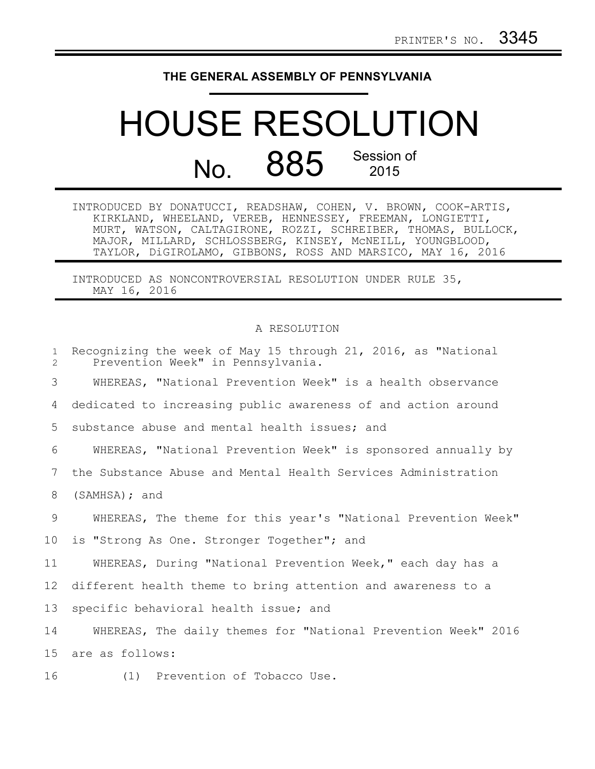## **THE GENERAL ASSEMBLY OF PENNSYLVANIA**

## HOUSE RESOLUTION No. 885 Session of

INTRODUCED BY DONATUCCI, READSHAW, COHEN, V. BROWN, COOK-ARTIS, KIRKLAND, WHEELAND, VEREB, HENNESSEY, FREEMAN, LONGIETTI, MURT, WATSON, CALTAGIRONE, ROZZI, SCHREIBER, THOMAS, BULLOCK, MAJOR, MILLARD, SCHLOSSBERG, KINSEY, McNEILL, YOUNGBLOOD, TAYLOR, DiGIROLAMO, GIBBONS, ROSS AND MARSICO, MAY 16, 2016

INTRODUCED AS NONCONTROVERSIAL RESOLUTION UNDER RULE 35, MAY 16, 2016

## A RESOLUTION

| $\mathbf{1}$<br>$\overline{2}$ | Recognizing the week of May 15 through 21, 2016, as "National<br>Prevention Week" in Pennsylvania. |
|--------------------------------|----------------------------------------------------------------------------------------------------|
| 3                              | WHEREAS, "National Prevention Week" is a health observance                                         |
| 4                              | dedicated to increasing public awareness of and action around                                      |
| 5                              | substance abuse and mental health issues; and                                                      |
| 6                              | WHEREAS, "National Prevention Week" is sponsored annually by                                       |
| 7                              | the Substance Abuse and Mental Health Services Administration                                      |
| 8                              | (SAMHSA); and                                                                                      |
| 9                              | WHEREAS, The theme for this year's "National Prevention Week"                                      |
| 10                             | is "Strong As One. Stronger Together"; and                                                         |
| 11                             | WHEREAS, During "National Prevention Week," each day has a                                         |
| 12                             | different health theme to bring attention and awareness to a                                       |
| 13                             | specific behavioral health issue; and                                                              |
| 14                             | WHEREAS, The daily themes for "National Prevention Week" 2016                                      |
| 15                             | are as follows:                                                                                    |
| 16                             | (1) Prevention of Tobacco Use.                                                                     |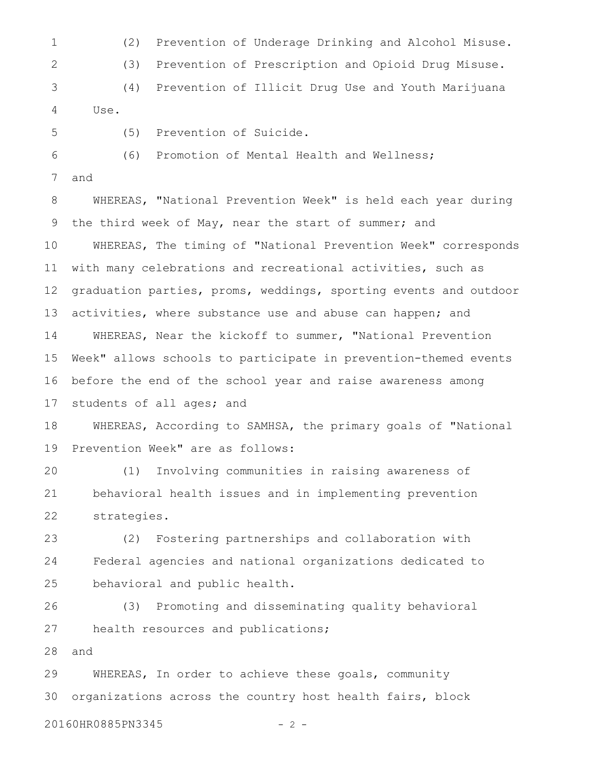(2) Prevention of Underage Drinking and Alcohol Misuse. (3) Prevention of Prescription and Opioid Drug Misuse. 1 2

(4) Prevention of Illicit Drug Use and Youth Marijuana Use. 3 4

5

(5) Prevention of Suicide.

(6) Promotion of Mental Health and Wellness; 6

and 7

WHEREAS, "National Prevention Week" is held each year during the third week of May, near the start of summer; and WHEREAS, The timing of "National Prevention Week" corresponds with many celebrations and recreational activities, such as graduation parties, proms, weddings, sporting events and outdoor activities, where substance use and abuse can happen; and WHEREAS, Near the kickoff to summer, "National Prevention Week" allows schools to participate in prevention-themed events before the end of the school year and raise awareness among students of all ages; and 8 9 10 11 12 13 14 15 16 17

WHEREAS, According to SAMHSA, the primary goals of "National Prevention Week" are as follows: 18 19

(1) Involving communities in raising awareness of behavioral health issues and in implementing prevention strategies. 20 21 22

(2) Fostering partnerships and collaboration with Federal agencies and national organizations dedicated to behavioral and public health. 23 24 25

(3) Promoting and disseminating quality behavioral health resources and publications; 26 27

and 28

WHEREAS, In order to achieve these goals, community organizations across the country host health fairs, block 29 30

20160HR0885PN3345 - 2 -